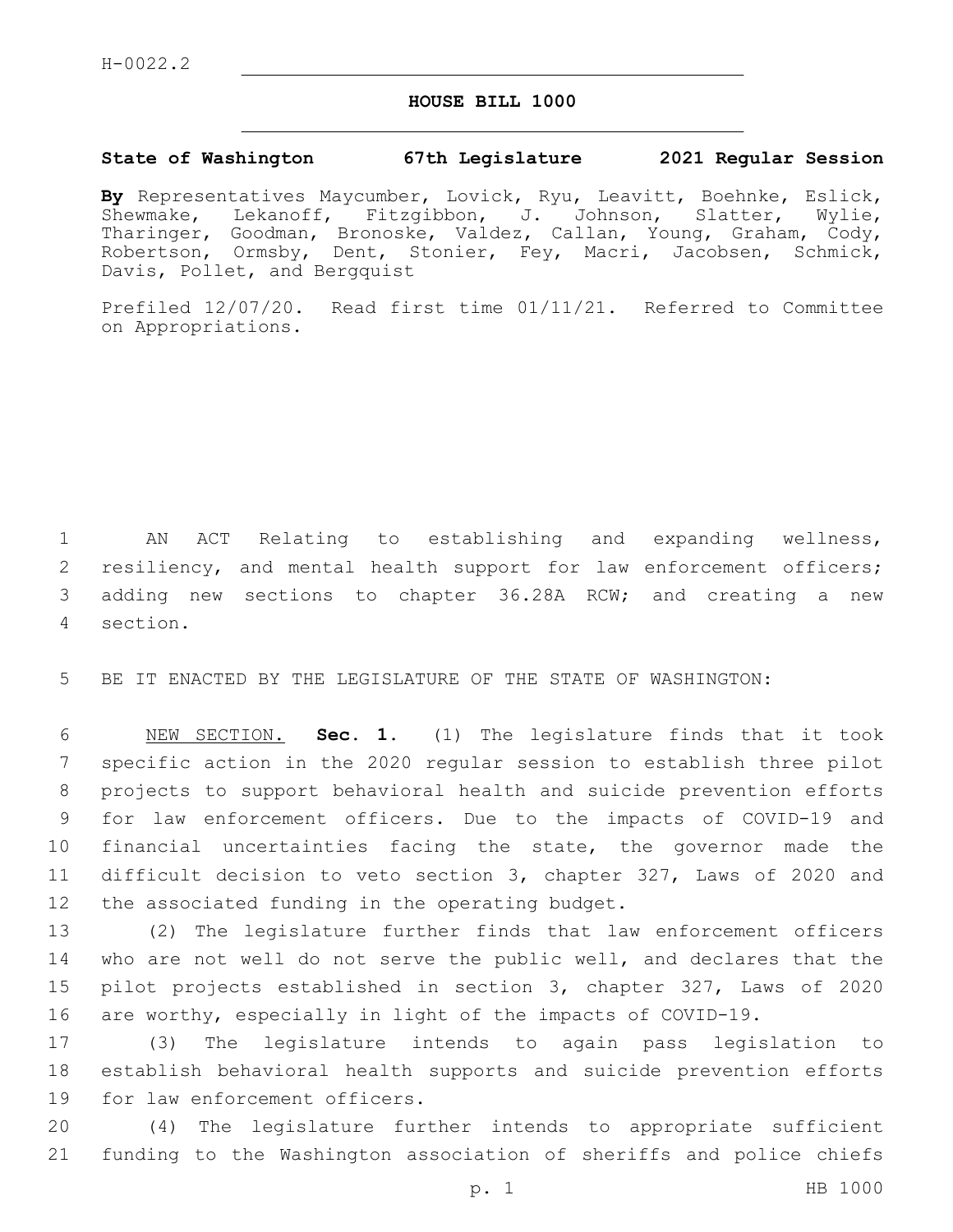## **HOUSE BILL 1000**

## **State of Washington 67th Legislature 2021 Regular Session**

**By** Representatives Maycumber, Lovick, Ryu, Leavitt, Boehnke, Eslick, Shewmake, Lekanoff, Fitzgibbon, J. Johnson, Slatter, Wylie, Tharinger, Goodman, Bronoske, Valdez, Callan, Young, Graham, Cody, Robertson, Ormsby, Dent, Stonier, Fey, Macri, Jacobsen, Schmick, Davis, Pollet, and Bergquist

Prefiled 12/07/20. Read first time 01/11/21. Referred to Committee on Appropriations.

1 AN ACT Relating to establishing and expanding wellness, 2 resiliency, and mental health support for law enforcement officers; 3 adding new sections to chapter 36.28A RCW; and creating a new 4 section.

5 BE IT ENACTED BY THE LEGISLATURE OF THE STATE OF WASHINGTON:

 NEW SECTION. **Sec. 1.** (1) The legislature finds that it took specific action in the 2020 regular session to establish three pilot projects to support behavioral health and suicide prevention efforts for law enforcement officers. Due to the impacts of COVID-19 and financial uncertainties facing the state, the governor made the difficult decision to veto section 3, chapter 327, Laws of 2020 and 12 the associated funding in the operating budget.

 (2) The legislature further finds that law enforcement officers who are not well do not serve the public well, and declares that the pilot projects established in section 3, chapter 327, Laws of 2020 are worthy, especially in light of the impacts of COVID-19.

17 (3) The legislature intends to again pass legislation to 18 establish behavioral health supports and suicide prevention efforts 19 for law enforcement officers.

20 (4) The legislature further intends to appropriate sufficient 21 funding to the Washington association of sheriffs and police chiefs